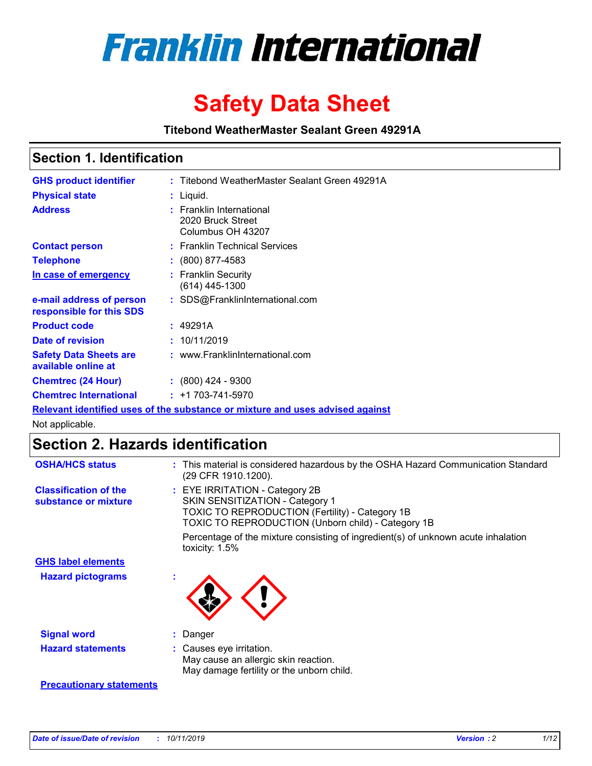

# **Safety Data Sheet**

**Titebond WeatherMaster Sealant Green 49291A**

### **Section 1. Identification**

| <b>GHS product identifier</b>                        | : Titebond WeatherMaster Sealant Green 49291A                                 |
|------------------------------------------------------|-------------------------------------------------------------------------------|
| <b>Physical state</b>                                | : Liquid.                                                                     |
| <b>Address</b>                                       | <b>Franklin International</b><br>2020 Bruck Street<br>Columbus OH 43207       |
| <b>Contact person</b>                                | : Franklin Technical Services                                                 |
| <b>Telephone</b>                                     | $\colon$ (800) 877-4583                                                       |
| In case of emergency                                 | : Franklin Security<br>(614) 445-1300                                         |
| e-mail address of person<br>responsible for this SDS | : SDS@FranklinInternational.com                                               |
| <b>Product code</b>                                  | : 49291A                                                                      |
| Date of revision                                     | : 10/11/2019                                                                  |
| <b>Safety Data Sheets are</b><br>available online at | : www.FranklinInternational.com                                               |
| <b>Chemtrec (24 Hour)</b>                            | $\cdot$ (800) 424 - 9300                                                      |
| <b>Chemtrec International</b>                        | $: +1703 - 741 - 5970$                                                        |
|                                                      | Relevant identified uses of the substance or mixture and uses advised against |

Not applicable.

## **Section 2. Hazards identification**

| <b>OSHA/HCS status</b>                               | : This material is considered hazardous by the OSHA Hazard Communication Standard<br>(29 CFR 1910.1200).                                                                                 |
|------------------------------------------------------|------------------------------------------------------------------------------------------------------------------------------------------------------------------------------------------|
| <b>Classification of the</b><br>substance or mixture | : EYE IRRITATION - Category 2B<br>SKIN SENSITIZATION - Category 1<br><b>TOXIC TO REPRODUCTION (Fertility) - Category 1B</b><br><b>TOXIC TO REPRODUCTION (Unborn child) - Category 1B</b> |
|                                                      | Percentage of the mixture consisting of ingredient(s) of unknown acute inhalation<br>toxicity: $1.5\%$                                                                                   |
| <b>GHS label elements</b>                            |                                                                                                                                                                                          |
| <b>Hazard pictograms</b>                             |                                                                                                                                                                                          |
| <b>Signal word</b>                                   | : Danger                                                                                                                                                                                 |
| <b>Hazard statements</b>                             | : Causes eye irritation.<br>May cause an allergic skin reaction.<br>May damage fertility or the unborn child.                                                                            |
| <b>Precautionary statements</b>                      |                                                                                                                                                                                          |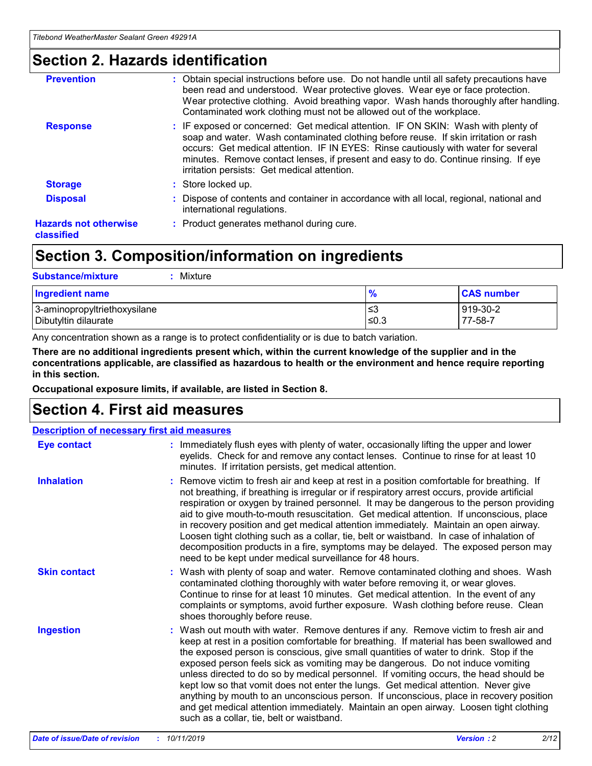### **Section 2. Hazards identification**

| <b>Prevention</b>                          | : Obtain special instructions before use. Do not handle until all safety precautions have<br>been read and understood. Wear protective gloves. Wear eye or face protection.<br>Wear protective clothing. Avoid breathing vapor. Wash hands thoroughly after handling.<br>Contaminated work clothing must not be allowed out of the workplace.                                                        |
|--------------------------------------------|------------------------------------------------------------------------------------------------------------------------------------------------------------------------------------------------------------------------------------------------------------------------------------------------------------------------------------------------------------------------------------------------------|
| <b>Response</b>                            | : IF exposed or concerned: Get medical attention. IF ON SKIN: Wash with plenty of<br>soap and water. Wash contaminated clothing before reuse. If skin irritation or rash<br>occurs: Get medical attention. IF IN EYES: Rinse cautiously with water for several<br>minutes. Remove contact lenses, if present and easy to do. Continue rinsing. If eye<br>irritation persists: Get medical attention. |
| <b>Storage</b>                             | : Store locked up.                                                                                                                                                                                                                                                                                                                                                                                   |
| <b>Disposal</b>                            | : Dispose of contents and container in accordance with all local, regional, national and<br>international regulations.                                                                                                                                                                                                                                                                               |
| <b>Hazards not otherwise</b><br>classified | : Product generates methanol during cure.                                                                                                                                                                                                                                                                                                                                                            |
|                                            |                                                                                                                                                                                                                                                                                                                                                                                                      |

### **Section 3. Composition/information on ingredients**

| <b>Substance/mixture</b><br>Mixture                  |               |                     |
|------------------------------------------------------|---------------|---------------------|
| <b>Ingredient name</b>                               | $\frac{9}{6}$ | <b>CAS number</b>   |
| 3-aminopropyltriethoxysilane<br>Dibutyltin dilaurate | ≤3<br>$≤0.3$  | 919-30-2<br>77-58-7 |

Any concentration shown as a range is to protect confidentiality or is due to batch variation.

**There are no additional ingredients present which, within the current knowledge of the supplier and in the concentrations applicable, are classified as hazardous to health or the environment and hence require reporting in this section.**

**Occupational exposure limits, if available, are listed in Section 8.**

### **Section 4. First aid measures**

| <b>Description of necessary first aid measures</b> |                                                                                                                                                                                                                                                                                                                                                                                                                                                                                                                                                                                                                                                                                                                                                                           |  |  |  |
|----------------------------------------------------|---------------------------------------------------------------------------------------------------------------------------------------------------------------------------------------------------------------------------------------------------------------------------------------------------------------------------------------------------------------------------------------------------------------------------------------------------------------------------------------------------------------------------------------------------------------------------------------------------------------------------------------------------------------------------------------------------------------------------------------------------------------------------|--|--|--|
| <b>Eye contact</b>                                 | : Immediately flush eyes with plenty of water, occasionally lifting the upper and lower<br>eyelids. Check for and remove any contact lenses. Continue to rinse for at least 10<br>minutes. If irritation persists, get medical attention.                                                                                                                                                                                                                                                                                                                                                                                                                                                                                                                                 |  |  |  |
| <b>Inhalation</b>                                  | : Remove victim to fresh air and keep at rest in a position comfortable for breathing. If<br>not breathing, if breathing is irregular or if respiratory arrest occurs, provide artificial<br>respiration or oxygen by trained personnel. It may be dangerous to the person providing<br>aid to give mouth-to-mouth resuscitation. Get medical attention. If unconscious, place<br>in recovery position and get medical attention immediately. Maintain an open airway.<br>Loosen tight clothing such as a collar, tie, belt or waistband. In case of inhalation of<br>decomposition products in a fire, symptoms may be delayed. The exposed person may<br>need to be kept under medical surveillance for 48 hours.                                                       |  |  |  |
| <b>Skin contact</b>                                | : Wash with plenty of soap and water. Remove contaminated clothing and shoes. Wash<br>contaminated clothing thoroughly with water before removing it, or wear gloves.<br>Continue to rinse for at least 10 minutes. Get medical attention. In the event of any<br>complaints or symptoms, avoid further exposure. Wash clothing before reuse. Clean<br>shoes thoroughly before reuse.                                                                                                                                                                                                                                                                                                                                                                                     |  |  |  |
| <b>Ingestion</b>                                   | : Wash out mouth with water. Remove dentures if any. Remove victim to fresh air and<br>keep at rest in a position comfortable for breathing. If material has been swallowed and<br>the exposed person is conscious, give small quantities of water to drink. Stop if the<br>exposed person feels sick as vomiting may be dangerous. Do not induce vomiting<br>unless directed to do so by medical personnel. If vomiting occurs, the head should be<br>kept low so that vomit does not enter the lungs. Get medical attention. Never give<br>anything by mouth to an unconscious person. If unconscious, place in recovery position<br>and get medical attention immediately. Maintain an open airway. Loosen tight clothing<br>such as a collar, tie, belt or waistband. |  |  |  |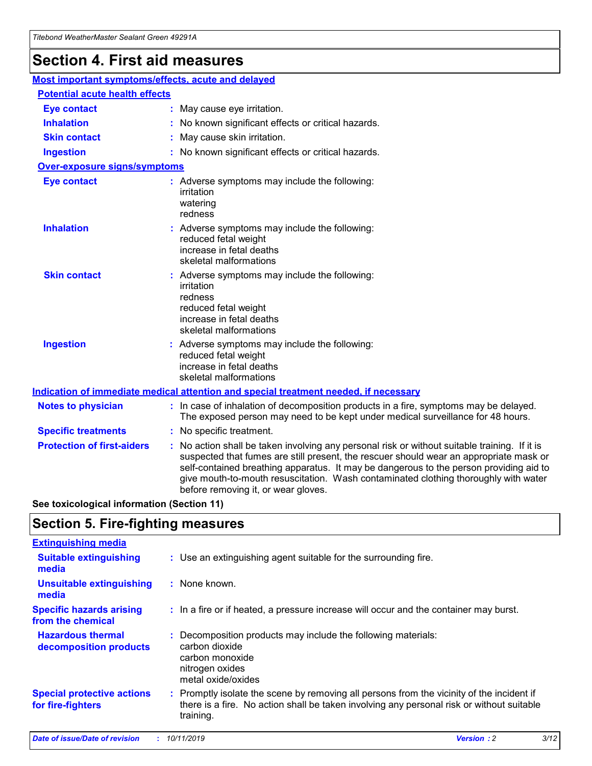## **Section 4. First aid measures**

| Most important symptoms/effects, acute and delayed |  |                                                                                                                                                                                                                                                                                                                                                                                                                 |  |
|----------------------------------------------------|--|-----------------------------------------------------------------------------------------------------------------------------------------------------------------------------------------------------------------------------------------------------------------------------------------------------------------------------------------------------------------------------------------------------------------|--|
| <b>Potential acute health effects</b>              |  |                                                                                                                                                                                                                                                                                                                                                                                                                 |  |
| <b>Eye contact</b>                                 |  | : May cause eye irritation.                                                                                                                                                                                                                                                                                                                                                                                     |  |
| <b>Inhalation</b>                                  |  | : No known significant effects or critical hazards.                                                                                                                                                                                                                                                                                                                                                             |  |
| <b>Skin contact</b>                                |  | : May cause skin irritation.                                                                                                                                                                                                                                                                                                                                                                                    |  |
| <b>Ingestion</b>                                   |  | : No known significant effects or critical hazards.                                                                                                                                                                                                                                                                                                                                                             |  |
| Over-exposure signs/symptoms                       |  |                                                                                                                                                                                                                                                                                                                                                                                                                 |  |
| <b>Eye contact</b>                                 |  | : Adverse symptoms may include the following:<br>irritation<br>watering<br>redness                                                                                                                                                                                                                                                                                                                              |  |
| <b>Inhalation</b>                                  |  | : Adverse symptoms may include the following:<br>reduced fetal weight<br>increase in fetal deaths<br>skeletal malformations                                                                                                                                                                                                                                                                                     |  |
| <b>Skin contact</b>                                |  | : Adverse symptoms may include the following:<br>irritation<br>redness<br>reduced fetal weight<br>increase in fetal deaths<br>skeletal malformations                                                                                                                                                                                                                                                            |  |
| <b>Ingestion</b>                                   |  | : Adverse symptoms may include the following:<br>reduced fetal weight<br>increase in fetal deaths<br>skeletal malformations                                                                                                                                                                                                                                                                                     |  |
|                                                    |  | <b>Indication of immediate medical attention and special treatment needed, if necessary</b>                                                                                                                                                                                                                                                                                                                     |  |
| <b>Notes to physician</b>                          |  | : In case of inhalation of decomposition products in a fire, symptoms may be delayed.<br>The exposed person may need to be kept under medical surveillance for 48 hours.                                                                                                                                                                                                                                        |  |
| <b>Specific treatments</b>                         |  | : No specific treatment.                                                                                                                                                                                                                                                                                                                                                                                        |  |
| <b>Protection of first-aiders</b>                  |  | : No action shall be taken involving any personal risk or without suitable training. If it is<br>suspected that fumes are still present, the rescuer should wear an appropriate mask or<br>self-contained breathing apparatus. It may be dangerous to the person providing aid to<br>give mouth-to-mouth resuscitation. Wash contaminated clothing thoroughly with water<br>before removing it, or wear gloves. |  |

**See toxicological information (Section 11)**

### **Section 5. Fire-fighting measures**

| <b>Extinguishing media</b>                             |                                                                                                                                                                                                     |
|--------------------------------------------------------|-----------------------------------------------------------------------------------------------------------------------------------------------------------------------------------------------------|
| <b>Suitable extinguishing</b><br>media                 | : Use an extinguishing agent suitable for the surrounding fire.                                                                                                                                     |
| <b>Unsuitable extinguishing</b><br>media               | $:$ None known.                                                                                                                                                                                     |
| <b>Specific hazards arising</b><br>from the chemical   | : In a fire or if heated, a pressure increase will occur and the container may burst.                                                                                                               |
| <b>Hazardous thermal</b><br>decomposition products     | : Decomposition products may include the following materials:<br>carbon dioxide<br>carbon monoxide<br>nitrogen oxides<br>metal oxide/oxides                                                         |
| <b>Special protective actions</b><br>for fire-fighters | : Promptly isolate the scene by removing all persons from the vicinity of the incident if<br>there is a fire. No action shall be taken involving any personal risk or without suitable<br>training. |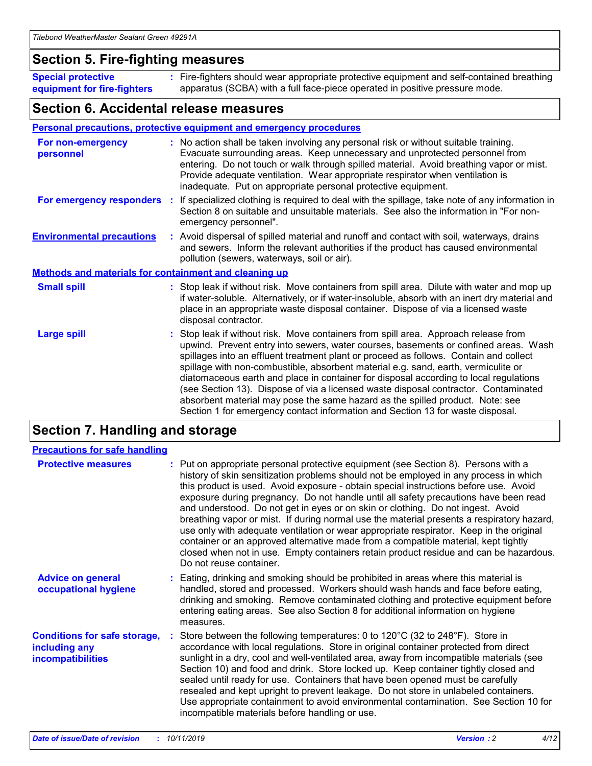### **Section 5. Fire-fighting measures**

**Special protective equipment for fire-fighters** Fire-fighters should wear appropriate protective equipment and self-contained breathing **:** apparatus (SCBA) with a full face-piece operated in positive pressure mode.

### **Section 6. Accidental release measures**

#### **Personal precautions, protective equipment and emergency procedures**

| For non-emergency<br>personnel                               |  | : No action shall be taken involving any personal risk or without suitable training.<br>Evacuate surrounding areas. Keep unnecessary and unprotected personnel from<br>entering. Do not touch or walk through spilled material. Avoid breathing vapor or mist.<br>Provide adequate ventilation. Wear appropriate respirator when ventilation is<br>inadequate. Put on appropriate personal protective equipment.                                                                                                                                                                                                                                                                                             |  |  |
|--------------------------------------------------------------|--|--------------------------------------------------------------------------------------------------------------------------------------------------------------------------------------------------------------------------------------------------------------------------------------------------------------------------------------------------------------------------------------------------------------------------------------------------------------------------------------------------------------------------------------------------------------------------------------------------------------------------------------------------------------------------------------------------------------|--|--|
|                                                              |  | For emergency responders : If specialized clothing is required to deal with the spillage, take note of any information in<br>Section 8 on suitable and unsuitable materials. See also the information in "For non-<br>emergency personnel".                                                                                                                                                                                                                                                                                                                                                                                                                                                                  |  |  |
| <b>Environmental precautions</b>                             |  | : Avoid dispersal of spilled material and runoff and contact with soil, waterways, drains<br>and sewers. Inform the relevant authorities if the product has caused environmental<br>pollution (sewers, waterways, soil or air).                                                                                                                                                                                                                                                                                                                                                                                                                                                                              |  |  |
| <b>Methods and materials for containment and cleaning up</b> |  |                                                                                                                                                                                                                                                                                                                                                                                                                                                                                                                                                                                                                                                                                                              |  |  |
| <b>Small spill</b>                                           |  | : Stop leak if without risk. Move containers from spill area. Dilute with water and mop up<br>if water-soluble. Alternatively, or if water-insoluble, absorb with an inert dry material and<br>place in an appropriate waste disposal container. Dispose of via a licensed waste<br>disposal contractor.                                                                                                                                                                                                                                                                                                                                                                                                     |  |  |
| <b>Large spill</b>                                           |  | : Stop leak if without risk. Move containers from spill area. Approach release from<br>upwind. Prevent entry into sewers, water courses, basements or confined areas. Wash<br>spillages into an effluent treatment plant or proceed as follows. Contain and collect<br>spillage with non-combustible, absorbent material e.g. sand, earth, vermiculite or<br>diatomaceous earth and place in container for disposal according to local regulations<br>(see Section 13). Dispose of via a licensed waste disposal contractor. Contaminated<br>absorbent material may pose the same hazard as the spilled product. Note: see<br>Section 1 for emergency contact information and Section 13 for waste disposal. |  |  |

### **Section 7. Handling and storage**

| <b>Precautions for safe handling</b>                                             |                                                                                                                                                                                                                                                                                                                                                                                                                                                                                                                                                                                                                                                                                                                                                                                                                                                  |
|----------------------------------------------------------------------------------|--------------------------------------------------------------------------------------------------------------------------------------------------------------------------------------------------------------------------------------------------------------------------------------------------------------------------------------------------------------------------------------------------------------------------------------------------------------------------------------------------------------------------------------------------------------------------------------------------------------------------------------------------------------------------------------------------------------------------------------------------------------------------------------------------------------------------------------------------|
| <b>Protective measures</b>                                                       | : Put on appropriate personal protective equipment (see Section 8). Persons with a<br>history of skin sensitization problems should not be employed in any process in which<br>this product is used. Avoid exposure - obtain special instructions before use. Avoid<br>exposure during pregnancy. Do not handle until all safety precautions have been read<br>and understood. Do not get in eyes or on skin or clothing. Do not ingest. Avoid<br>breathing vapor or mist. If during normal use the material presents a respiratory hazard,<br>use only with adequate ventilation or wear appropriate respirator. Keep in the original<br>container or an approved alternative made from a compatible material, kept tightly<br>closed when not in use. Empty containers retain product residue and can be hazardous.<br>Do not reuse container. |
| <b>Advice on general</b><br>occupational hygiene                                 | : Eating, drinking and smoking should be prohibited in areas where this material is<br>handled, stored and processed. Workers should wash hands and face before eating,<br>drinking and smoking. Remove contaminated clothing and protective equipment before<br>entering eating areas. See also Section 8 for additional information on hygiene<br>measures.                                                                                                                                                                                                                                                                                                                                                                                                                                                                                    |
| <b>Conditions for safe storage,</b><br>including any<br><b>incompatibilities</b> | Store between the following temperatures: 0 to 120°C (32 to 248°F). Store in<br>accordance with local regulations. Store in original container protected from direct<br>sunlight in a dry, cool and well-ventilated area, away from incompatible materials (see<br>Section 10) and food and drink. Store locked up. Keep container tightly closed and<br>sealed until ready for use. Containers that have been opened must be carefully<br>resealed and kept upright to prevent leakage. Do not store in unlabeled containers.<br>Use appropriate containment to avoid environmental contamination. See Section 10 for<br>incompatible materials before handling or use.                                                                                                                                                                         |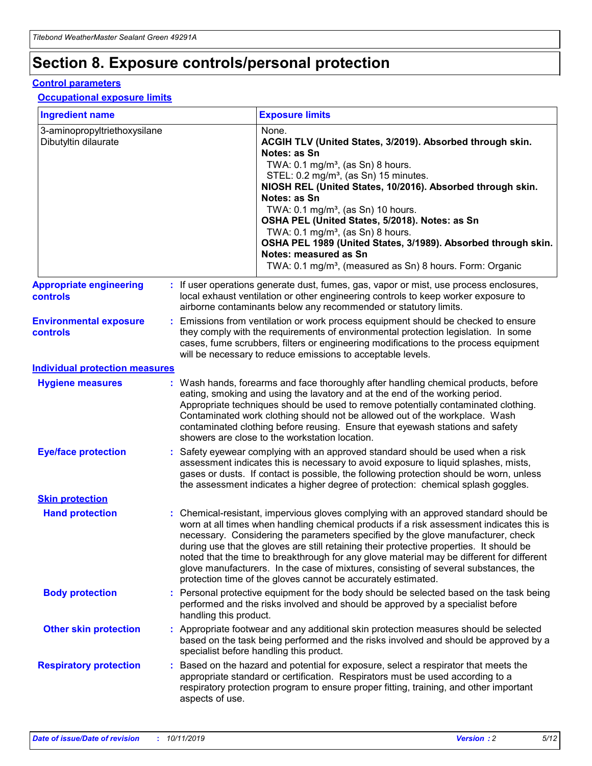## **Section 8. Exposure controls/personal protection**

#### **Control parameters**

#### **Occupational exposure limits**

| <b>Ingredient name</b>                               |    |                                          | <b>Exposure limits</b>                                                                                                                                                                                                                                                                                                                                                                                                                                                                                                                                                                                                 |
|------------------------------------------------------|----|------------------------------------------|------------------------------------------------------------------------------------------------------------------------------------------------------------------------------------------------------------------------------------------------------------------------------------------------------------------------------------------------------------------------------------------------------------------------------------------------------------------------------------------------------------------------------------------------------------------------------------------------------------------------|
| 3-aminopropyltriethoxysilane<br>Dibutyltin dilaurate |    |                                          | None.<br>ACGIH TLV (United States, 3/2019). Absorbed through skin.<br>Notes: as Sn<br>TWA: 0.1 mg/m <sup>3</sup> , (as Sn) 8 hours.<br>STEL: 0.2 mg/m <sup>3</sup> , (as Sn) 15 minutes.<br>NIOSH REL (United States, 10/2016). Absorbed through skin.<br>Notes: as Sn<br>TWA: 0.1 mg/m <sup>3</sup> , (as Sn) 10 hours.<br>OSHA PEL (United States, 5/2018). Notes: as Sn<br>TWA: $0.1 \text{ mg/m}^3$ , (as Sn) 8 hours.<br>OSHA PEL 1989 (United States, 3/1989). Absorbed through skin.<br>Notes: measured as Sn<br>TWA: 0.1 mg/m <sup>3</sup> , (measured as Sn) 8 hours. Form: Organic                           |
| <b>Appropriate engineering</b><br>controls           |    |                                          | : If user operations generate dust, fumes, gas, vapor or mist, use process enclosures,<br>local exhaust ventilation or other engineering controls to keep worker exposure to<br>airborne contaminants below any recommended or statutory limits.                                                                                                                                                                                                                                                                                                                                                                       |
| <b>Environmental exposure</b><br><b>controls</b>     |    |                                          | Emissions from ventilation or work process equipment should be checked to ensure<br>they comply with the requirements of environmental protection legislation. In some<br>cases, fume scrubbers, filters or engineering modifications to the process equipment<br>will be necessary to reduce emissions to acceptable levels.                                                                                                                                                                                                                                                                                          |
| <b>Individual protection measures</b>                |    |                                          |                                                                                                                                                                                                                                                                                                                                                                                                                                                                                                                                                                                                                        |
| <b>Hygiene measures</b>                              |    |                                          | : Wash hands, forearms and face thoroughly after handling chemical products, before<br>eating, smoking and using the lavatory and at the end of the working period.<br>Appropriate techniques should be used to remove potentially contaminated clothing.<br>Contaminated work clothing should not be allowed out of the workplace. Wash<br>contaminated clothing before reusing. Ensure that eyewash stations and safety<br>showers are close to the workstation location.                                                                                                                                            |
| <b>Eye/face protection</b>                           |    |                                          | : Safety eyewear complying with an approved standard should be used when a risk<br>assessment indicates this is necessary to avoid exposure to liquid splashes, mists,<br>gases or dusts. If contact is possible, the following protection should be worn, unless<br>the assessment indicates a higher degree of protection: chemical splash goggles.                                                                                                                                                                                                                                                                  |
| <b>Skin protection</b>                               |    |                                          |                                                                                                                                                                                                                                                                                                                                                                                                                                                                                                                                                                                                                        |
| <b>Hand protection</b>                               |    |                                          | : Chemical-resistant, impervious gloves complying with an approved standard should be<br>worn at all times when handling chemical products if a risk assessment indicates this is<br>necessary. Considering the parameters specified by the glove manufacturer, check<br>during use that the gloves are still retaining their protective properties. It should be<br>noted that the time to breakthrough for any glove material may be different for different<br>glove manufacturers. In the case of mixtures, consisting of several substances, the<br>protection time of the gloves cannot be accurately estimated. |
| <b>Body protection</b>                               |    | handling this product.                   | Personal protective equipment for the body should be selected based on the task being<br>performed and the risks involved and should be approved by a specialist before                                                                                                                                                                                                                                                                                                                                                                                                                                                |
| <b>Other skin protection</b>                         |    | specialist before handling this product. | : Appropriate footwear and any additional skin protection measures should be selected<br>based on the task being performed and the risks involved and should be approved by a                                                                                                                                                                                                                                                                                                                                                                                                                                          |
| <b>Respiratory protection</b>                        | ÷. | aspects of use.                          | Based on the hazard and potential for exposure, select a respirator that meets the<br>appropriate standard or certification. Respirators must be used according to a<br>respiratory protection program to ensure proper fitting, training, and other important                                                                                                                                                                                                                                                                                                                                                         |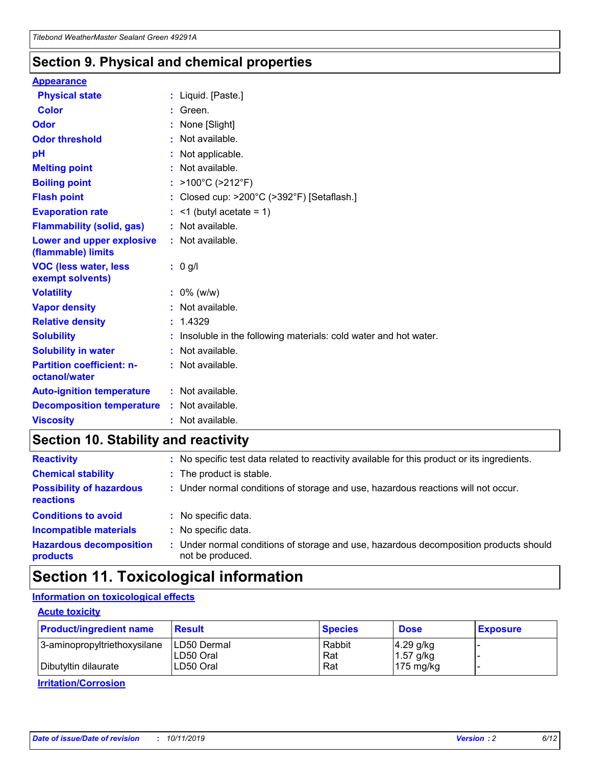### **Section 9. Physical and chemical properties**

#### **Appearance**

| <b>Physical state</b>                             | : Liquid. [Paste.]                                              |
|---------------------------------------------------|-----------------------------------------------------------------|
| Color                                             | Green.                                                          |
| Odor                                              | : None [Slight]                                                 |
| <b>Odor threshold</b>                             | $:$ Not available.                                              |
| рH                                                | : Not applicable.                                               |
| <b>Melting point</b>                              | : Not available.                                                |
| <b>Boiling point</b>                              | : >100°C (>212°F)                                               |
| <b>Flash point</b>                                | : Closed cup: $>200^{\circ}$ C ( $>392^{\circ}$ F) [Setaflash.] |
| <b>Evaporation rate</b>                           | $:$ <1 (butyl acetate = 1)                                      |
| <b>Flammability (solid, gas)</b>                  | : Not available.                                                |
| Lower and upper explosive<br>(flammable) limits   | : Not available.                                                |
| <b>VOC (less water, less</b>                      | $: 0$ g/l                                                       |
| exempt solvents)                                  |                                                                 |
| <b>Volatility</b>                                 | $: 0\%$ (w/w)                                                   |
| <b>Vapor density</b>                              | : Not available.                                                |
| <b>Relative density</b>                           | : 1.4329                                                        |
| <b>Solubility</b>                                 | Insoluble in the following materials: cold water and hot water. |
| <b>Solubility in water</b>                        | : Not available.                                                |
| <b>Partition coefficient: n-</b><br>octanol/water | $:$ Not available.                                              |
| <b>Auto-ignition temperature</b>                  | : Not available.                                                |
| <b>Decomposition temperature</b>                  | : Not available.                                                |

### **Section 10. Stability and reactivity**

| <b>Reactivity</b>                            | : No specific test data related to reactivity available for this product or its ingredients.            |
|----------------------------------------------|---------------------------------------------------------------------------------------------------------|
| <b>Chemical stability</b>                    | : The product is stable.                                                                                |
| <b>Possibility of hazardous</b><br>reactions | : Under normal conditions of storage and use, hazardous reactions will not occur.                       |
| <b>Conditions to avoid</b>                   | : No specific data.                                                                                     |
| <b>Incompatible materials</b>                | : No specific data.                                                                                     |
| <b>Hazardous decomposition</b><br>products   | Under normal conditions of storage and use, hazardous decomposition products should<br>not be produced. |

## **Section 11. Toxicological information**

### **Information on toxicological effects**

#### **Acute toxicity**

| <b>Product/ingredient name</b> | <b>Result</b>           | <b>Species</b> | <b>Dose</b>                | <b>Exposure</b> |
|--------------------------------|-------------------------|----------------|----------------------------|-----------------|
| 3-aminopropyltriethoxysilane   | <b>ILD50 Dermal</b>     | Rabbit         | 4.29 g/kg                  |                 |
| Dibutyltin dilaurate           | ILD50 Oral<br>LD50 Oral | Rat<br>Rat     | $1.57$ g/kg<br>175 $mg/kg$ |                 |
|                                |                         |                |                            |                 |

**Irritation/Corrosion**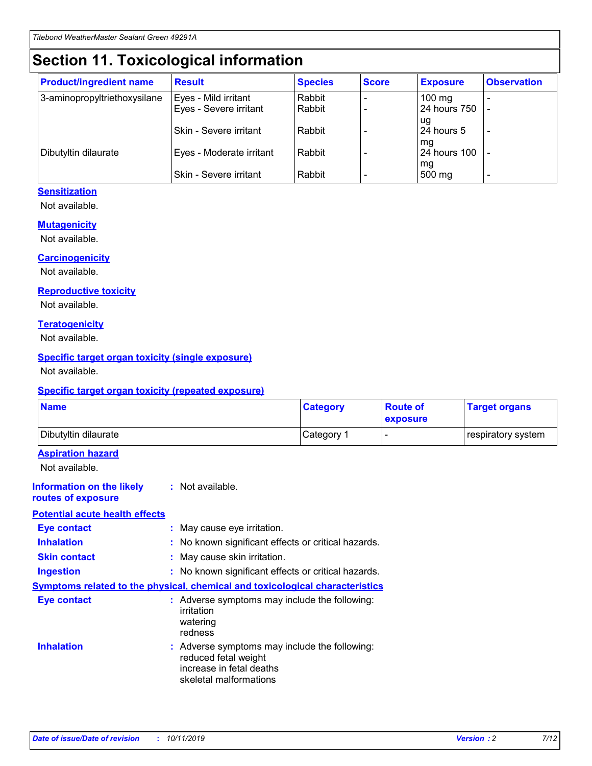## **Section 11. Toxicological information**

| <b>Product/ingredient name</b> | <b>Result</b>            | <b>Species</b> | <b>Score</b> | <b>Exposure</b>           | <b>Observation</b> |
|--------------------------------|--------------------------|----------------|--------------|---------------------------|--------------------|
| 3-aminopropyltriethoxysilane   | Eyes - Mild irritant     | Rabbit         |              | $100$ mg                  |                    |
|                                | Eyes - Severe irritant   | Rabbit         |              | 24 hours 750              |                    |
|                                |                          |                |              | ug                        |                    |
|                                | Skin - Severe irritant   | Rabbit         |              | 24 hours 5                | -                  |
| Dibutyltin dilaurate           | Eyes - Moderate irritant | Rabbit         |              | mq<br><b>24 hours 100</b> |                    |
|                                |                          |                |              | mg                        |                    |
|                                | Skin - Severe irritant   | Rabbit         |              | 500 mg                    |                    |

### **Sensitization**

Not available.

#### **Mutagenicity**

Not available.

#### **Carcinogenicity**

Not available.

#### **Reproductive toxicity**

Not available.

#### **Teratogenicity**

Not available.

#### **Specific target organ toxicity (single exposure)**

Not available.

#### **Specific target organ toxicity (repeated exposure)**

| <b>Name</b>                                                                  |                                                                            | <b>Category</b>                                     | <b>Route of</b><br>exposure | <b>Target organs</b> |
|------------------------------------------------------------------------------|----------------------------------------------------------------------------|-----------------------------------------------------|-----------------------------|----------------------|
| Dibutyltin dilaurate                                                         |                                                                            | Category 1                                          | -                           | respiratory system   |
| <b>Aspiration hazard</b><br>Not available.                                   |                                                                            |                                                     |                             |                      |
| <b>Information on the likely</b><br>routes of exposure                       | : Not available.                                                           |                                                     |                             |                      |
| <b>Potential acute health effects</b>                                        |                                                                            |                                                     |                             |                      |
| <b>Eye contact</b>                                                           | : May cause eye irritation.                                                |                                                     |                             |                      |
| <b>Inhalation</b>                                                            |                                                                            | : No known significant effects or critical hazards. |                             |                      |
| <b>Skin contact</b>                                                          | : May cause skin irritation.                                               |                                                     |                             |                      |
| <b>Ingestion</b>                                                             |                                                                            | : No known significant effects or critical hazards. |                             |                      |
| Symptoms related to the physical, chemical and toxicological characteristics |                                                                            |                                                     |                             |                      |
| <b>Eye contact</b>                                                           | irritation<br>watering<br>redness                                          | : Adverse symptoms may include the following:       |                             |                      |
| <b>Inhalation</b>                                                            | reduced fetal weight<br>increase in fetal deaths<br>skeletal malformations | : Adverse symptoms may include the following:       |                             |                      |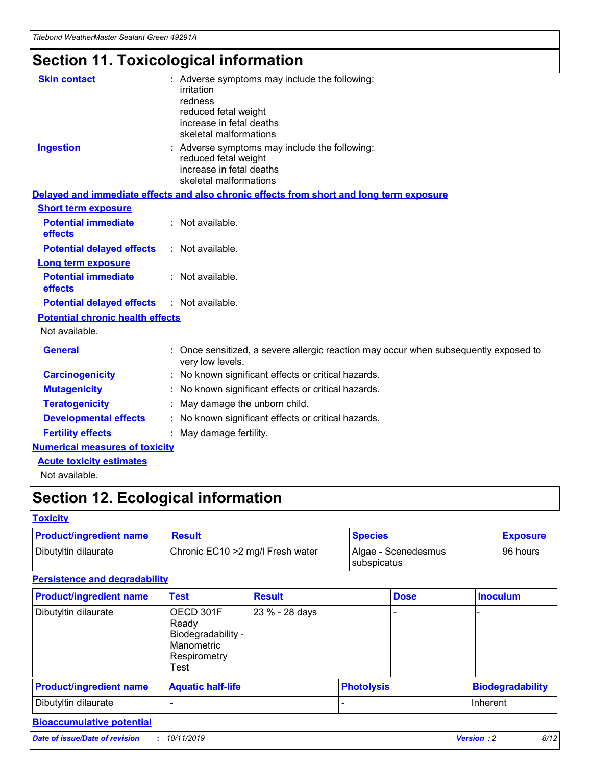## **Section 11. Toxicological information**

| <b>Skin contact</b>                     | : Adverse symptoms may include the following:<br>irritation<br>redness<br>reduced fetal weight<br>increase in fetal deaths<br>skeletal malformations |
|-----------------------------------------|------------------------------------------------------------------------------------------------------------------------------------------------------|
| <b>Ingestion</b>                        | : Adverse symptoms may include the following:<br>reduced fetal weight<br>increase in fetal deaths<br>skeletal malformations                          |
|                                         | Delayed and immediate effects and also chronic effects from short and long term exposure                                                             |
| <b>Short term exposure</b>              |                                                                                                                                                      |
| <b>Potential immediate</b><br>effects   | : Not available.                                                                                                                                     |
| <b>Potential delayed effects</b>        | : Not available.                                                                                                                                     |
| <b>Long term exposure</b>               |                                                                                                                                                      |
| <b>Potential immediate</b><br>effects   | : Not available.                                                                                                                                     |
| <b>Potential delayed effects</b>        | : Not available.                                                                                                                                     |
| <b>Potential chronic health effects</b> |                                                                                                                                                      |
| Not available.                          |                                                                                                                                                      |
| <b>General</b>                          | : Once sensitized, a severe allergic reaction may occur when subsequently exposed to<br>very low levels.                                             |
| <b>Carcinogenicity</b>                  | : No known significant effects or critical hazards.                                                                                                  |
| <b>Mutagenicity</b>                     | No known significant effects or critical hazards.                                                                                                    |
| <b>Teratogenicity</b>                   | May damage the unborn child.                                                                                                                         |
| <b>Developmental effects</b>            | No known significant effects or critical hazards.                                                                                                    |
| <b>Fertility effects</b>                | : May damage fertility.                                                                                                                              |
| <b>Numerical measures of toxicity</b>   |                                                                                                                                                      |
| <b>Acute toxicity estimates</b>         |                                                                                                                                                      |
|                                         |                                                                                                                                                      |

Not available.

## **Section 12. Ecological information**

#### **Toxicity**

| <b>Product/ingredient name</b> | <b>Result</b>                     | <b>Species</b>                       | <b>Exposure</b> |
|--------------------------------|-----------------------------------|--------------------------------------|-----------------|
| Dibutyltin dilaurate           | Chronic EC10 > 2 mg/l Fresh water | Algae - Scenedesmus<br>I subspicatus | l 96 hours      |

### **Persistence and degradability**

| <b>Product/ingredient name</b> | <b>Test</b>                                                                    | <b>Result</b>  |                   | <b>Dose</b> | <b>Inoculum</b>         |
|--------------------------------|--------------------------------------------------------------------------------|----------------|-------------------|-------------|-------------------------|
| Dibutyltin dilaurate           | OECD 301F<br>Ready<br>Biodegradability -<br>Manometric<br>Respirometry<br>Test | 23 % - 28 days |                   |             |                         |
| <b>Product/ingredient name</b> | <b>Aquatic half-life</b>                                                       |                | <b>Photolysis</b> |             | <b>Biodegradability</b> |
| Dibutyltin dilaurate           |                                                                                |                |                   |             | Inherent                |

### **Bioaccumulative potential**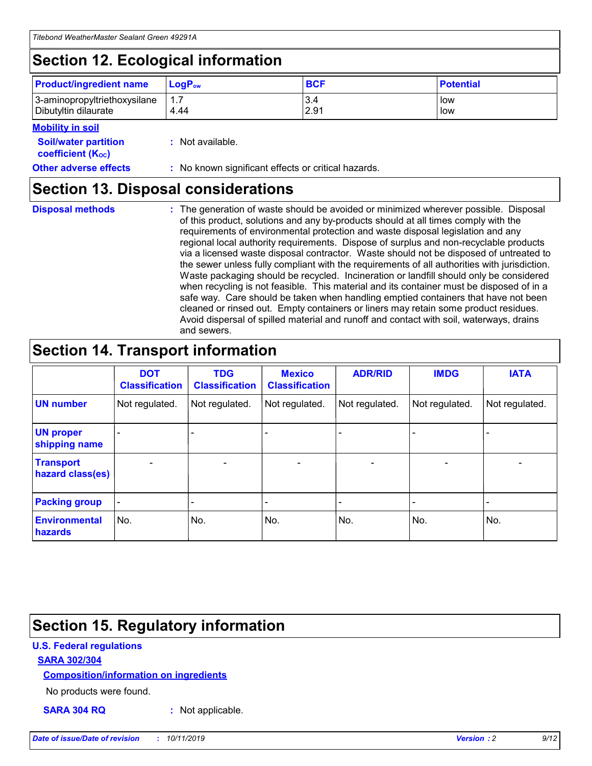## **Section 12. Ecological information**

| <b>Product/ingredient name</b>                       | ∣LoqP <sub>ow</sub> | <b>BCF</b>  | <b>Potential</b> |
|------------------------------------------------------|---------------------|-------------|------------------|
| 3-aminopropyltriethoxysilane<br>Dibutyltin dilaurate | 4.44                | 3.4<br>2.91 | low<br>low       |

#### **Mobility in soil**

| <i></i>                                                       |                                                     |
|---------------------------------------------------------------|-----------------------------------------------------|
| <b>Soil/water partition</b><br>coefficient (K <sub>oc</sub> ) | : Not available.                                    |
| <b>Other adverse effects</b>                                  | : No known significant effects or critical hazards. |

### **Section 13. Disposal considerations**

|  | <b>Disposal methods</b> |  |
|--|-------------------------|--|

**Disposal methods** : The generation of waste should be avoided or minimized wherever possible. Disposal of this product, solutions and any by-products should at all times comply with the requirements of environmental protection and waste disposal legislation and any regional local authority requirements. Dispose of surplus and non-recyclable products via a licensed waste disposal contractor. Waste should not be disposed of untreated to the sewer unless fully compliant with the requirements of all authorities with jurisdiction. Waste packaging should be recycled. Incineration or landfill should only be considered when recycling is not feasible. This material and its container must be disposed of in a safe way. Care should be taken when handling emptied containers that have not been cleaned or rinsed out. Empty containers or liners may retain some product residues. Avoid dispersal of spilled material and runoff and contact with soil, waterways, drains and sewers.

## **Section 14. Transport information**

|                                      | <b>DOT</b><br><b>Classification</b> | <b>TDG</b><br><b>Classification</b> | <b>Mexico</b><br><b>Classification</b> | <b>ADR/RID</b>           | <b>IMDG</b>              | <b>IATA</b>              |
|--------------------------------------|-------------------------------------|-------------------------------------|----------------------------------------|--------------------------|--------------------------|--------------------------|
| <b>UN number</b>                     | Not regulated.                      | Not regulated.                      | Not regulated.                         | Not regulated.           | Not regulated.           | Not regulated.           |
| <b>UN proper</b><br>shipping name    | $\qquad \qquad \blacksquare$        |                                     |                                        |                          |                          |                          |
| <b>Transport</b><br>hazard class(es) | $\blacksquare$                      | $\blacksquare$                      | $\blacksquare$                         | $\overline{\phantom{a}}$ | $\blacksquare$           | $\blacksquare$           |
| <b>Packing group</b>                 | $\overline{\phantom{a}}$            | $\overline{\phantom{0}}$            | $\qquad \qquad \blacksquare$           | -                        | $\overline{\phantom{0}}$ | $\overline{\phantom{a}}$ |
| <b>Environmental</b><br>hazards      | No.                                 | No.                                 | No.                                    | No.                      | No.                      | No.                      |

## **Section 15. Regulatory information**

### **U.S. Federal regulations**

#### **SARA 302/304**

#### **Composition/information on ingredients**

No products were found.

**SARA 304 RQ :** Not applicable.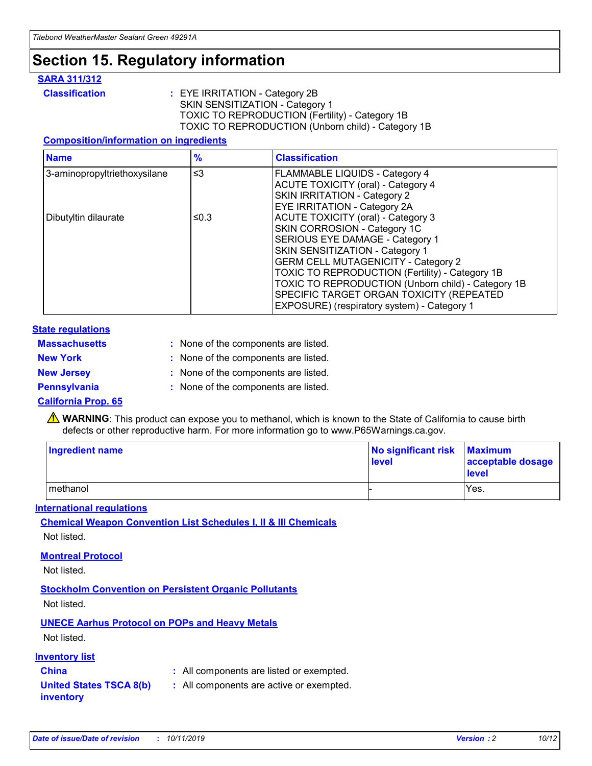### **Section 15. Regulatory information**

#### **SARA 311/312**

**Classification :** EYE IRRITATION - Category 2B SKIN SENSITIZATION - Category 1 TOXIC TO REPRODUCTION (Fertility) - Category 1B TOXIC TO REPRODUCTION (Unborn child) - Category 1B

#### **Composition/information on ingredients**

| <b>Name</b>                  | $\frac{9}{6}$ | <b>Classification</b>                                                                                            |
|------------------------------|---------------|------------------------------------------------------------------------------------------------------------------|
| 3-aminopropyltriethoxysilane | $\leq$ 3      | <b>FLAMMABLE LIQUIDS - Category 4</b><br><b>ACUTE TOXICITY (oral) - Category 4</b>                               |
|                              |               | SKIN IRRITATION - Category 2<br>EYE IRRITATION - Category 2A                                                     |
| Dibutyltin dilaurate         | ≤0.3          | ACUTE TOXICITY (oral) - Category 3<br>SKIN CORROSION - Category 1C                                               |
|                              |               | SERIOUS EYE DAMAGE - Category 1<br>SKIN SENSITIZATION - Category 1<br><b>GERM CELL MUTAGENICITY - Category 2</b> |
|                              |               | TOXIC TO REPRODUCTION (Fertility) - Category 1B<br>TOXIC TO REPRODUCTION (Unborn child) - Category 1B            |
|                              |               | SPECIFIC TARGET ORGAN TOXICITY (REPEATED<br>EXPOSURE) (respiratory system) - Category 1                          |

#### **State regulations**

| <b>Massachusetts</b> | : None of the components are listed. |
|----------------------|--------------------------------------|
| <b>New York</b>      | : None of the components are listed. |
| <b>New Jersey</b>    | : None of the components are listed. |
| Pennsylvania         | : None of the components are listed. |

#### **California Prop. 65**

**A** WARNING: This product can expose you to methanol, which is known to the State of California to cause birth defects or other reproductive harm. For more information go to www.P65Warnings.ca.gov.

| <b>Ingredient name</b> | No significant risk Maximum<br>level | acceptable dosage<br>level |
|------------------------|--------------------------------------|----------------------------|
| methanol               |                                      | Yes.                       |

#### **International regulations**

**Chemical Weapon Convention List Schedules I, II & III Chemicals** Not listed.

#### **Montreal Protocol**

Not listed.

#### **Stockholm Convention on Persistent Organic Pollutants**

Not listed.

### **UNECE Aarhus Protocol on POPs and Heavy Metals**

Not listed.

#### **Inventory list**

### **China :** All components are listed or exempted.

**United States TSCA 8(b) inventory :** All components are active or exempted.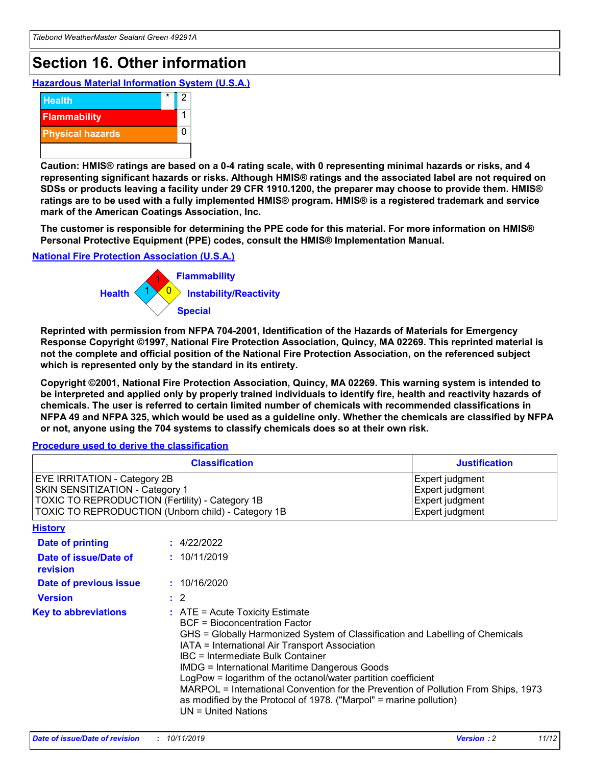## **Section 16. Other information**

**Hazardous Material Information System (U.S.A.)**



**Caution: HMIS® ratings are based on a 0-4 rating scale, with 0 representing minimal hazards or risks, and 4 representing significant hazards or risks. Although HMIS® ratings and the associated label are not required on SDSs or products leaving a facility under 29 CFR 1910.1200, the preparer may choose to provide them. HMIS® ratings are to be used with a fully implemented HMIS® program. HMIS® is a registered trademark and service mark of the American Coatings Association, Inc.**

**The customer is responsible for determining the PPE code for this material. For more information on HMIS® Personal Protective Equipment (PPE) codes, consult the HMIS® Implementation Manual.**

#### **National Fire Protection Association (U.S.A.)**



**Reprinted with permission from NFPA 704-2001, Identification of the Hazards of Materials for Emergency Response Copyright ©1997, National Fire Protection Association, Quincy, MA 02269. This reprinted material is not the complete and official position of the National Fire Protection Association, on the referenced subject which is represented only by the standard in its entirety.**

**Copyright ©2001, National Fire Protection Association, Quincy, MA 02269. This warning system is intended to be interpreted and applied only by properly trained individuals to identify fire, health and reactivity hazards of chemicals. The user is referred to certain limited number of chemicals with recommended classifications in NFPA 49 and NFPA 325, which would be used as a guideline only. Whether the chemicals are classified by NFPA or not, anyone using the 704 systems to classify chemicals does so at their own risk.**

#### **Procedure used to derive the classification**

|                                                                                                                    | <b>Classification</b>                                                                                                                                                                                                                                                                                                                                                                                                                                                                                                                                         | <b>Justification</b>                                                     |
|--------------------------------------------------------------------------------------------------------------------|---------------------------------------------------------------------------------------------------------------------------------------------------------------------------------------------------------------------------------------------------------------------------------------------------------------------------------------------------------------------------------------------------------------------------------------------------------------------------------------------------------------------------------------------------------------|--------------------------------------------------------------------------|
| EYE IRRITATION - Category 2B<br>SKIN SENSITIZATION - Category 1<br>TOXIC TO REPRODUCTION (Fertility) - Category 1B | TOXIC TO REPRODUCTION (Unborn child) - Category 1B                                                                                                                                                                                                                                                                                                                                                                                                                                                                                                            | Expert judgment<br>Expert judgment<br>Expert judgment<br>Expert judgment |
| <b>History</b>                                                                                                     |                                                                                                                                                                                                                                                                                                                                                                                                                                                                                                                                                               |                                                                          |
| <b>Date of printing</b>                                                                                            | : 4/22/2022                                                                                                                                                                                                                                                                                                                                                                                                                                                                                                                                                   |                                                                          |
| Date of issue/Date of<br>revision                                                                                  | : 10/11/2019                                                                                                                                                                                                                                                                                                                                                                                                                                                                                                                                                  |                                                                          |
| Date of previous issue                                                                                             | : 10/16/2020                                                                                                                                                                                                                                                                                                                                                                                                                                                                                                                                                  |                                                                          |
| <b>Version</b>                                                                                                     | $\therefore$ 2                                                                                                                                                                                                                                                                                                                                                                                                                                                                                                                                                |                                                                          |
| <b>Key to abbreviations</b>                                                                                        | $:$ ATE = Acute Toxicity Estimate<br><b>BCF</b> = Bioconcentration Factor<br>GHS = Globally Harmonized System of Classification and Labelling of Chemicals<br>IATA = International Air Transport Association<br>IBC = Intermediate Bulk Container<br><b>IMDG = International Maritime Dangerous Goods</b><br>LogPow = logarithm of the octanol/water partition coefficient<br>MARPOL = International Convention for the Prevention of Pollution From Ships, 1973<br>as modified by the Protocol of 1978. ("Marpol" = marine pollution)<br>UN = United Nations |                                                                          |